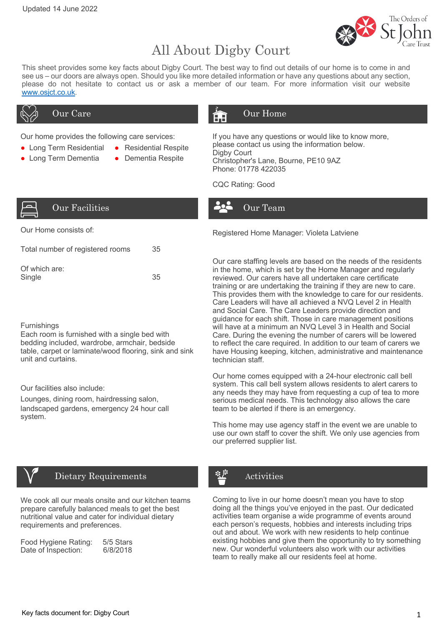

# All About Digby Court

This sheet provides some key facts about Digby Court. The best way to find out details of our home is to come in and see us – our doors are always open. Should you like more detailed information or have any questions about any section, please do not hesitate to contact us or ask a member of our team. For more information visit our website www.osjct.co.uk.

Our home provides the following care services:

- Long Term Residential Residential Respite
- Long Term Dementia Dementia Respite
- 

# Our Care **Our Home**

If you have any questions or would like to know more, please contact us using the information below. Digby Court Christopher's Lane, Bourne, PE10 9AZ Phone: 01778 422035

CQC Rating: Good



| . Jui | decilities <sup>.</sup> |
|-------|-------------------------|

| Total number of registered rooms | 35  |
|----------------------------------|-----|
| Of which are:<br>Single          | .35 |

### **Furnishings**

Each room is furnished with a single bed with bedding included, wardrobe, armchair, bedside table, carpet or laminate/wood flooring, sink and sink unit and curtains.

Our facilities also include:

Lounges, dining room, hairdressing salon, landscaped gardens, emergency 24 hour call system.



## Dietary Requirements

We cook all our meals onsite and our kitchen teams prepare carefully balanced meals to get the best nutritional value and cater for individual dietary requirements and preferences.

| Food Hygiene Rating: | 5/5 Stars |
|----------------------|-----------|
| Date of Inspection:  | 6/8/2018  |

Our Home consists of: The Constant of the Registered Home Manager: Violeta Latviene

Our Team

Our care staffing levels are based on the needs of the residents in the home, which is set by the Home Manager and regularly reviewed. Our carers have all undertaken care certificate training or are undertaking the training if they are new to care. This provides them with the knowledge to care for our residents. Care Leaders will have all achieved a NVQ Level 2 in Health and Social Care. The Care Leaders provide direction and guidance for each shift. Those in care management positions will have at a minimum an NVQ Level 3 in Health and Social Care. During the evening the number of carers will be lowered to reflect the care required. In addition to our team of carers we have Housing keeping, kitchen, administrative and maintenance technician staff.

Our home comes equipped with a 24-hour electronic call bell system. This call bell system allows residents to alert carers to any needs they may have from requesting a cup of tea to more serious medical needs. This technology also allows the care team to be alerted if there is an emergency.

This home may use agency staff in the event we are unable to use our own staff to cover the shift. We only use agencies from our preferred supplier list.

# Activities

Coming to live in our home doesn't mean you have to stop doing all the things you've enjoyed in the past. Our dedicated activities team organise a wide programme of events around each person's requests, hobbies and interests including trips out and about. We work with new residents to help continue existing hobbies and give them the opportunity to try something new. Our wonderful volunteers also work with our activities team to really make all our residents feel at home.

Key facts document for: Digby Court 1